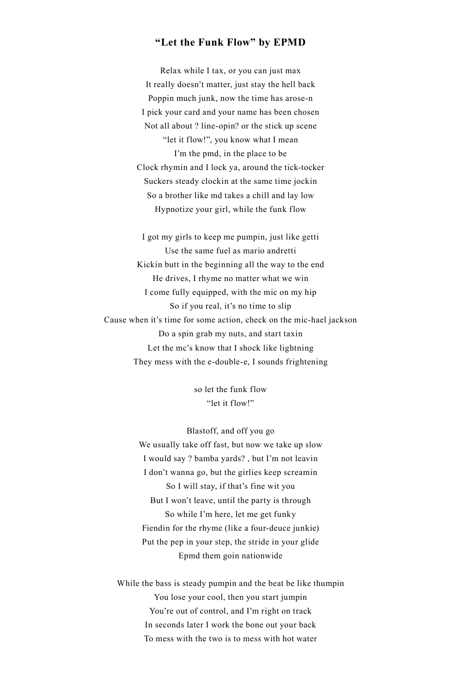## **"Let the Funk Flow" by EPMD**

Relax while I tax, or you can just max It really doesn't matter, just stay the hell back Poppin much junk, now the time has arose-n I pick your card and your name has been chosen Not all about ? line-opin? or the stick up scene "let it flow!", you know what I mean I'm the pmd, in the place to be Clock rhymin and I lock ya, around the tick-tocker Suckers steady clockin at the same time jockin So a brother like md takes a chill and lay low Hypnotize your girl, while the funk flow

I got my girls to keep me pumpin, just like getti Use the same fuel as mario andretti Kickin butt in the beginning all the way to the end He drives, I rhyme no matter what we win I come fully equipped, with the mic on my hip So if you real, it's no time to slip Cause when it's time for some action, check on the mic-hael jackson Do a spin grab my nuts, and start taxin Let the mc's know that I shock like lightning They mess with the e-double-e, I sounds frightening

> so let the funk flow "let it flow!"

Blastoff, and off you go We usually take off fast, but now we take up slow I would say ? bamba yards? , but I'm not leavin I don't wanna go, but the girlies keep screamin So I will stay, if that's fine wit you But I won't leave, until the party is through So while I'm here, let me get funky Fiendin for the rhyme (like a four-deuce junkie) Put the pep in your step, the stride in your glide Epmd them goin nationwide

While the bass is steady pumpin and the beat be like thumpin You lose your cool, then you start jumpin You're out of control, and I'm right on track In seconds later I work the bone out your back To mess with the two is to mess with hot water